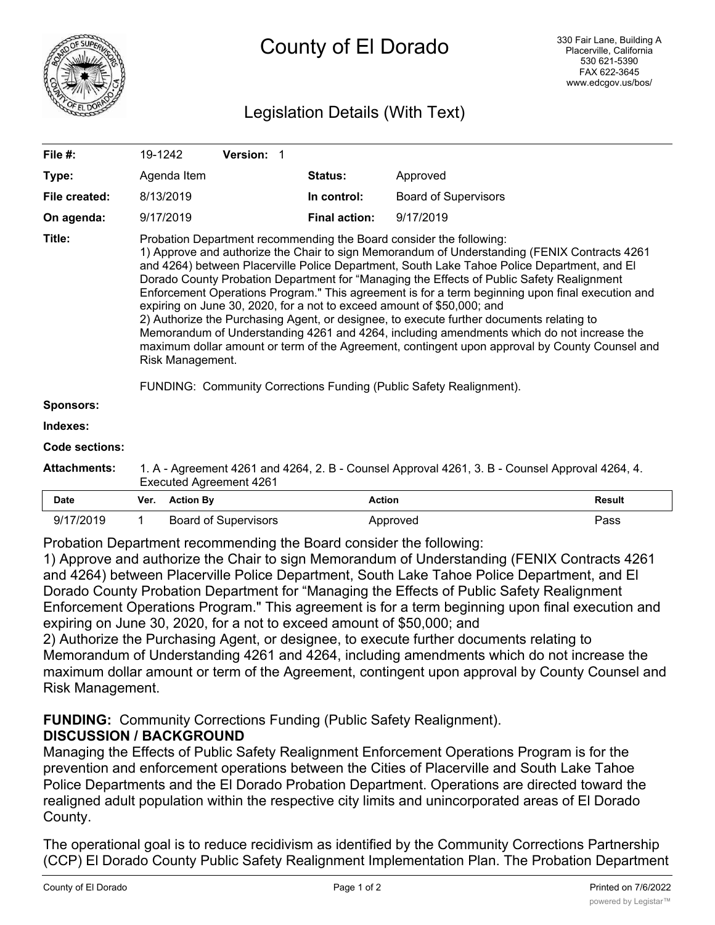

# Legislation Details (With Text)

| File $#$ :          | 19-1242                                                                                                                                                                                                                                                                                                                                                                                                                                                                                                                                                                                                                                                                                                                                                                                                                                                                                                                             |                  | Version: 1                  |                      |                             |               |
|---------------------|-------------------------------------------------------------------------------------------------------------------------------------------------------------------------------------------------------------------------------------------------------------------------------------------------------------------------------------------------------------------------------------------------------------------------------------------------------------------------------------------------------------------------------------------------------------------------------------------------------------------------------------------------------------------------------------------------------------------------------------------------------------------------------------------------------------------------------------------------------------------------------------------------------------------------------------|------------------|-----------------------------|----------------------|-----------------------------|---------------|
| Type:               |                                                                                                                                                                                                                                                                                                                                                                                                                                                                                                                                                                                                                                                                                                                                                                                                                                                                                                                                     | Agenda Item      |                             | Status:              | Approved                    |               |
| File created:       | 8/13/2019                                                                                                                                                                                                                                                                                                                                                                                                                                                                                                                                                                                                                                                                                                                                                                                                                                                                                                                           |                  | In control:                 |                      | <b>Board of Supervisors</b> |               |
| On agenda:          | 9/17/2019                                                                                                                                                                                                                                                                                                                                                                                                                                                                                                                                                                                                                                                                                                                                                                                                                                                                                                                           |                  |                             | <b>Final action:</b> | 9/17/2019                   |               |
| Title:              | Probation Department recommending the Board consider the following:<br>1) Approve and authorize the Chair to sign Memorandum of Understanding (FENIX Contracts 4261<br>and 4264) between Placerville Police Department, South Lake Tahoe Police Department, and El<br>Dorado County Probation Department for "Managing the Effects of Public Safety Realignment<br>Enforcement Operations Program." This agreement is for a term beginning upon final execution and<br>expiring on June 30, 2020, for a not to exceed amount of \$50,000; and<br>2) Authorize the Purchasing Agent, or designee, to execute further documents relating to<br>Memorandum of Understanding 4261 and 4264, including amendments which do not increase the<br>maximum dollar amount or term of the Agreement, contingent upon approval by County Counsel and<br>Risk Management.<br>FUNDING: Community Corrections Funding (Public Safety Realignment). |                  |                             |                      |                             |               |
| Sponsors:           |                                                                                                                                                                                                                                                                                                                                                                                                                                                                                                                                                                                                                                                                                                                                                                                                                                                                                                                                     |                  |                             |                      |                             |               |
| Indexes:            |                                                                                                                                                                                                                                                                                                                                                                                                                                                                                                                                                                                                                                                                                                                                                                                                                                                                                                                                     |                  |                             |                      |                             |               |
| Code sections:      |                                                                                                                                                                                                                                                                                                                                                                                                                                                                                                                                                                                                                                                                                                                                                                                                                                                                                                                                     |                  |                             |                      |                             |               |
| <b>Attachments:</b> | 1. A - Agreement 4261 and 4264, 2. B - Counsel Approval 4261, 3. B - Counsel Approval 4264, 4.<br><b>Executed Agreement 4261</b>                                                                                                                                                                                                                                                                                                                                                                                                                                                                                                                                                                                                                                                                                                                                                                                                    |                  |                             |                      |                             |               |
| <b>Date</b>         | Ver.                                                                                                                                                                                                                                                                                                                                                                                                                                                                                                                                                                                                                                                                                                                                                                                                                                                                                                                                | <b>Action By</b> |                             |                      | <b>Action</b>               | <b>Result</b> |
| 9/17/2019           | 1                                                                                                                                                                                                                                                                                                                                                                                                                                                                                                                                                                                                                                                                                                                                                                                                                                                                                                                                   |                  | <b>Board of Supervisors</b> |                      | Approved                    | Pass          |

Probation Department recommending the Board consider the following:

1) Approve and authorize the Chair to sign Memorandum of Understanding (FENIX Contracts 4261 and 4264) between Placerville Police Department, South Lake Tahoe Police Department, and El Dorado County Probation Department for "Managing the Effects of Public Safety Realignment Enforcement Operations Program." This agreement is for a term beginning upon final execution and expiring on June 30, 2020, for a not to exceed amount of \$50,000; and

2) Authorize the Purchasing Agent, or designee, to execute further documents relating to Memorandum of Understanding 4261 and 4264, including amendments which do not increase the maximum dollar amount or term of the Agreement, contingent upon approval by County Counsel and Risk Management.

# **FUNDING:** Community Corrections Funding (Public Safety Realignment). **DISCUSSION / BACKGROUND**

Managing the Effects of Public Safety Realignment Enforcement Operations Program is for the prevention and enforcement operations between the Cities of Placerville and South Lake Tahoe Police Departments and the El Dorado Probation Department. Operations are directed toward the realigned adult population within the respective city limits and unincorporated areas of El Dorado County.

The operational goal is to reduce recidivism as identified by the Community Corrections Partnership (CCP) El Dorado County Public Safety Realignment Implementation Plan. The Probation Department